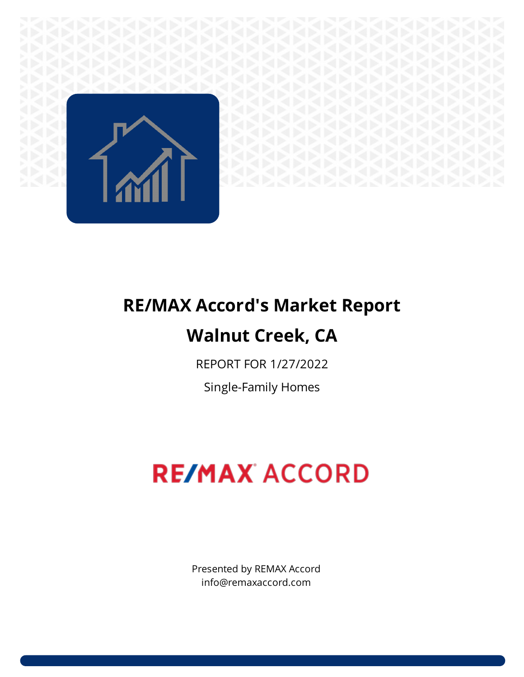

## **RE/MAX Accord's Market Report Walnut Creek, CA**

REPORT FOR 1/27/2022

Single-Family Homes

# **RE/MAX ACCORD**

Presented by REMAX Accord info@remaxaccord.com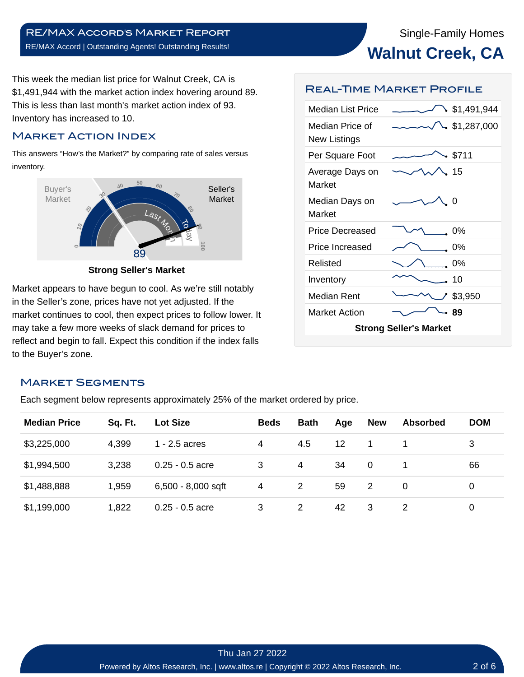This week the median list price for Walnut Creek, CA is \$1,491,944 with the market action index hovering around 89. This is less than last month's market action index of 93. Inventory has increased to 10.

#### Market Action Index

This answers "How's the Market?" by comparing rate of sales versus inventory.



**Strong Seller's Market**

Market appears to have begun to cool. As we're still notably in the Seller's zone, prices have not yet adjusted. If the market continues to cool, then expect prices to follow lower. It may take a few more weeks of slack demand for prices to reflect and begin to fall. Expect this condition if the index falls to the Buyer's zone.

#### Real-Time Market Profile

| Median List Price                      | \$1,491,944 |  |  |  |  |  |  |
|----------------------------------------|-------------|--|--|--|--|--|--|
| Median Price of<br><b>New Listings</b> | \$1,287,000 |  |  |  |  |  |  |
| Per Square Foot                        | \$711       |  |  |  |  |  |  |
| Average Days on<br>Market              | -15         |  |  |  |  |  |  |
| Median Days on<br>Market               | - 0         |  |  |  |  |  |  |
| Price Decreased                        | 0%          |  |  |  |  |  |  |
| Price Increased                        | 0%          |  |  |  |  |  |  |
| Relisted                               | 0%          |  |  |  |  |  |  |
| Inventory                              | 10          |  |  |  |  |  |  |
| Median Rent                            | * \$3,950   |  |  |  |  |  |  |
| <b>Market Action</b>                   | -89         |  |  |  |  |  |  |
| <b>Strong Seller's Market</b>          |             |  |  |  |  |  |  |

#### Market Segments

Each segment below represents approximately 25% of the market ordered by price.

| <b>Median Price</b> | Sq. Ft. | <b>Lot Size</b>      | <b>Beds</b> | <b>Bath</b> | Age | <b>New</b> | <b>Absorbed</b> | <b>DOM</b> |
|---------------------|---------|----------------------|-------------|-------------|-----|------------|-----------------|------------|
| \$3,225,000         | 4,399   | $1 - 2.5$ acres      | 4           | 4.5         | 12  |            |                 | 3          |
| \$1,994,500         | 3,238   | $0.25 - 0.5$ acre    | 3           | 4           | 34  | 0          |                 | 66         |
| \$1,488,888         | 1,959   | $6,500 - 8,000$ sqft | 4           | 2           | 59  | 2          | $\Omega$        | 0          |
| \$1,199,000         | 1,822   | $0.25 - 0.5$ acre    | 3           | 2           | 42  | 3          | $\mathcal{P}$   | 0          |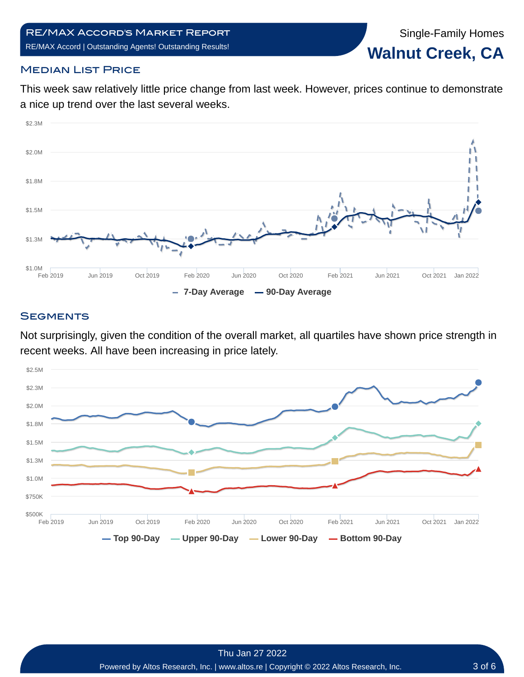Single-Family Homes **Walnut Creek, CA**

#### **MEDIAN LIST PRICE**

This week saw relatively little price change from last week. However, prices continue to demonstrate a nice up trend over the last several weeks.



#### **SEGMENTS**

Not surprisingly, given the condition of the overall market, all quartiles have shown price strength in recent weeks. All have been increasing in price lately.

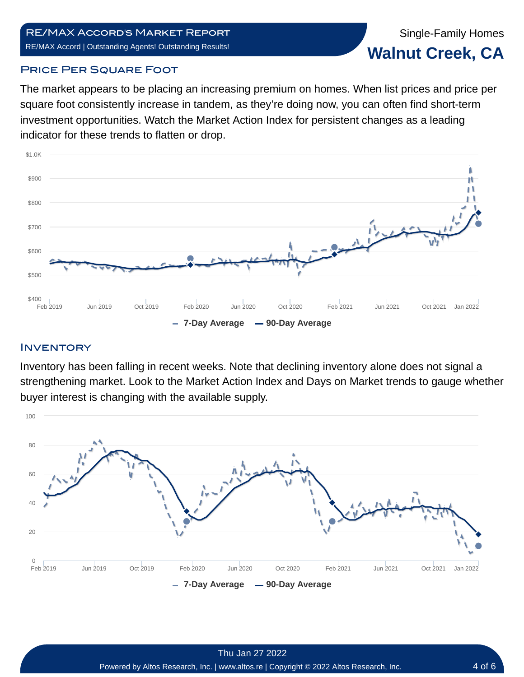Single-Family Homes **Walnut Creek, CA**

#### **PRICE PER SQUARE FOOT**

The market appears to be placing an increasing premium on homes. When list prices and price per square foot consistently increase in tandem, as they're doing now, you can often find short-term investment opportunities. Watch the Market Action Index for persistent changes as a leading indicator for these trends to flatten or drop.



#### **INVENTORY**

Inventory has been falling in recent weeks. Note that declining inventory alone does not signal a strengthening market. Look to the Market Action Index and Days on Market trends to gauge whether buyer interest is changing with the available supply.

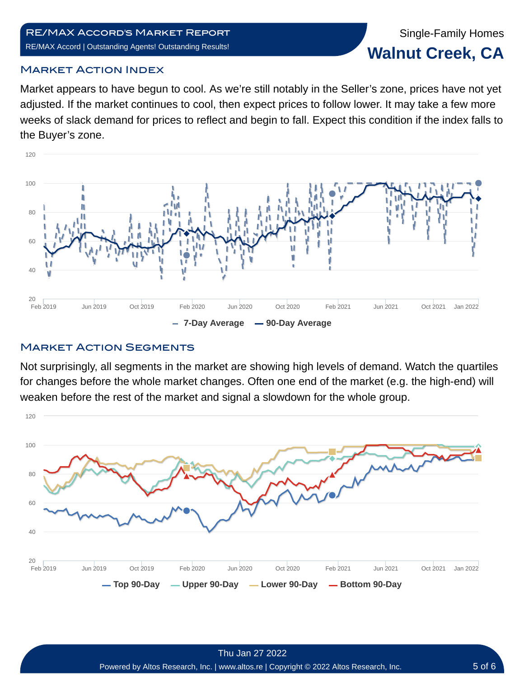### Single-Family Homes **Walnut Creek, CA**

#### Market Action Index

Market appears to have begun to cool. As we're still notably in the Seller's zone, prices have not yet adjusted. If the market continues to cool, then expect prices to follow lower. It may take a few more weeks of slack demand for prices to reflect and begin to fall. Expect this condition if the index falls to the Buyer's zone.



#### **MARKET ACTION SEGMENTS**

Not surprisingly, all segments in the market are showing high levels of demand. Watch the quartiles for changes before the whole market changes. Often one end of the market (e.g. the high-end) will weaken before the rest of the market and signal a slowdown for the whole group.